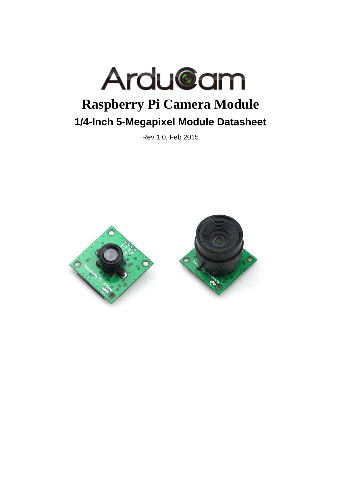

Rev 1.0, Feb 2015

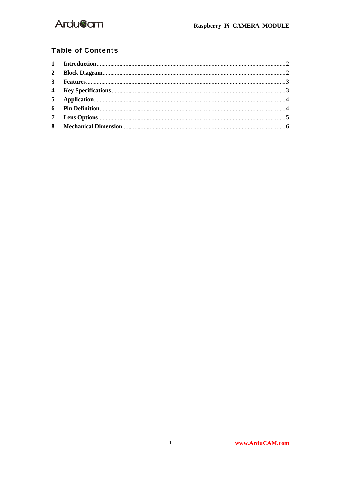

#### **Table of Contents**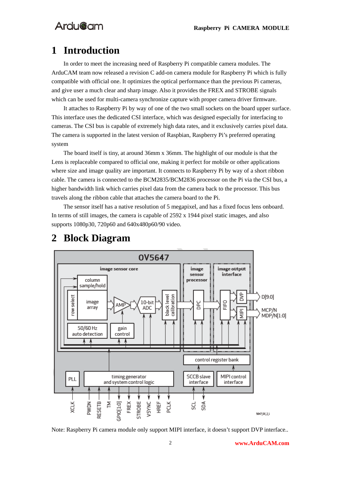## **1 Introduction**

In order to meet the increasing need of Raspberry Pi compatible camera modules. The ArduCAM team now released a revision C add-on camera module for Raspberry Pi which is fully compatible with official one. It optimizes the optical performance than the previous Pi cameras, and give user a much clear and sharp image. Also it provides the FREX and STROBE signals which can be used for multi-camera synchronize capture with proper camera driver firmware.

It attaches to Raspberry Pi by way of one of the two small sockets on the board upper surface. This interface uses the dedicated CSI interface, which was designed especially for interfacing to cameras. The CSI bus is capable of extremely high data rates, and it exclusively carries pixel data. The camera is supported in the latest version of Raspbian, Raspberry Pi's preferred operating system

The board itself is tiny, at around 36mm x 36mm. The highlight of our module is that the Lens is replaceable compared to official one, making it perfect for mobile or other applications where size and image quality are important. It connects to Raspberry Pi by way of a short ribbon cable. The camera is connected to the BCM2835/BCM2836 processor on the Pi via the CSI bus, a higher bandwidth link which carries pixel data from the camera back to the processor. This bus travels along the ribbon cable that attaches the camera board to the Pi.

The sensor itself has a native resolution of 5 megapixel, and has a fixed focus lens onboard. In terms of still images, the camera is capable of 2592 x 1944 pixel static images, and also supports 1080p30, 720p60 and 640x480p60/90 video.



### **2 Block Diagram**

Note: Raspberry Pi camera module only support MIPI interface, it doesn't support DVP interface..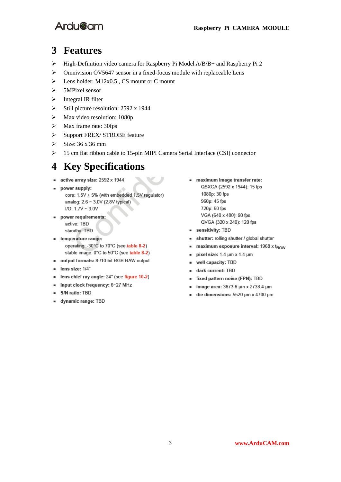

#### **3 Features**

- High-Definition video camera for Raspberry Pi Model A/B/B+ and Raspberry Pi 2
- $\triangleright$  Omnivision OV5647 sensor in a fixed-focus module with replaceable Lens
- Eens holder:  $M12x0.5$ , CS mount or C mount
- $>$  5MPixel sensor
- $\triangleright$  Integral IR filter
- $\triangleright$  Still picture resolution: 2592 x 1944
- $\triangleright$  Max video resolution: 1080p
- $\triangleright$  Max frame rate: 30fps
- Support FREX/ STROBE feature
- $\geq$  Size: 36 x 36 mm
- 15 cm flat ribbon cable to 15-pin MIPI Camera Serial Interface (CSI) connector

## **4 Key Specifications**

- $\blacksquare$  active array size: 2592 x 1944
- power supply:  $\blacksquare$ core:  $1.5V \pm 5%$  (with embedded 1.5V regulator) analog: 2.6 ~ 3.0V (2.8V typical)  $I/O: 1.7V \sim 3.0V$
- power requirements: active: TBD standby: TBD
- temperature range: operating: -30°C to 70°C (see table 8-2) stable image: 0°C to 50°C (see table 8-2)
- output formats: 8-/10-bit RGB RAW output
- $\blacksquare$  lens size:  $1/4"$
- lens chief ray angle: 24° (see figure 10-2)
- input clock frequency: 6~27 MHz
- S/N ratio: TBD  $\blacksquare$
- **dynamic range: TBD**
- maximum image transfer rate: QSXGA (2592 x 1944): 15 fps 1080p: 30 fps 960p: 45 fps 720p: 60 fps VGA (640 x 480): 90 fps QVGA (320 x 240): 120 fps
- sensitivity: TBD
- shutter: rolling shutter / global shutter  $\blacksquare$
- maximum exposure interval: 1968 x t<sub>ROW</sub>  $\blacksquare$
- pixel size: 1.4 um x 1.4 um  $\blacksquare$
- well capacity: TBD  $\blacksquare$
- dark current: TBD  $\blacksquare$
- fixed pattern noise (FPN): TBD  $\blacksquare$
- image area: 3673.6 um x 2738.4 um  $\blacksquare$
- die dimensions: 5520 µm x 4700 µm  $\blacksquare$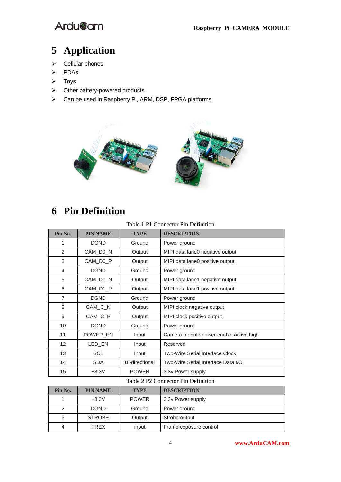

# **5 Application**

- $\triangleright$  Cellular phones
- PDAs
- $\triangleright$  Toys
- $\triangleright$  Other battery-powered products
- Can be used in Raspberry Pi, ARM, DSP, FPGA platforms



# **6 Pin Definition**

Table 1 P1 Connector Pin Definition

| Pin No.                                                 | <b>PIN NAME</b> | <b>TYPE</b>                     | <b>DESCRIPTION</b>                     |  |  |  |
|---------------------------------------------------------|-----------------|---------------------------------|----------------------------------------|--|--|--|
| 1                                                       | <b>DGND</b>     | Ground                          | Power ground                           |  |  |  |
| 2                                                       | CAM_D0_N        | Output                          | MIPI data lane0 negative output        |  |  |  |
| 3                                                       | CAM DO P        | Output                          | MIPI data lane0 positive output        |  |  |  |
| 4                                                       | <b>DGND</b>     | Ground                          | Power ground                           |  |  |  |
| 5                                                       | CAM_D1_N        | Output                          | MIPI data lane1 negative output        |  |  |  |
| CAM_D1_P<br>6<br>Output                                 |                 | MIPI data lane1 positive output |                                        |  |  |  |
| $\overline{7}$<br><b>DGND</b><br>Ground<br>Power ground |                 |                                 |                                        |  |  |  |
| 8                                                       | CAM_C_N         | Output                          | MIPI clock negative output             |  |  |  |
| 9                                                       | CAM_C_P         | Output                          | MIPI clock positive output             |  |  |  |
| <b>DGND</b><br>10<br>Ground<br>Power ground             |                 |                                 |                                        |  |  |  |
| 11                                                      | POWER EN        | Input                           | Camera module power enable active high |  |  |  |
| 12                                                      | LED_EN          | Input                           | Reserved                               |  |  |  |
| 13                                                      | <b>SCL</b>      | Input                           | <b>Two-Wire Serial Interface Clock</b> |  |  |  |
| 14                                                      | <b>SDA</b>      | Bi-directional                  | Two-Wire Serial Interface Data I/O     |  |  |  |
| 15                                                      | $+3.3V$         | <b>POWER</b>                    | 3.3v Power supply                      |  |  |  |
| Table 2 P2 Connector Pin Definition                     |                 |                                 |                                        |  |  |  |
| $\mathbf{m}$ and $\mathbf{m}$                           |                 |                                 | <b>BERGARDERS</b>                      |  |  |  |

| Pin No. | <b>PIN NAME</b> | <b>TYPE</b>  | <b>DESCRIPTION</b>     |
|---------|-----------------|--------------|------------------------|
|         | $+3.3V$         | <b>POWER</b> | 3.3v Power supply      |
| 2       | <b>DGND</b>     | Ground       | Power ground           |
| 3       | <b>STROBE</b>   | Output       | Strobe output          |
| 4       | <b>FREX</b>     | input        | Frame exposure control |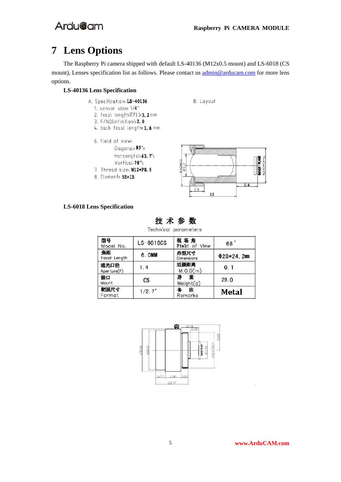# **7 Lens Options**

The Raspberry Pi camera shipped with default LS-40136 (M12x0.5 mount) and LS-6018 (CS mount), Lenses specification list as follows. Please contact us  $\frac{\text{admin@arducam.com}}{\text{admin@orducam.com}}$  for more lens options.

#### **LS-40136 Lens Specification**

- A. Specification: LS-40136
	- 1. sensor size: 1/4"
	- 2. focal length(EFL): 3. 2 mm
	- 3. F/NO(infinition): 2. 0
	- 4. back focal length: 1.6 mm
	- 6. Field of view: Diagonal, 85°; Horzongtal, 63. 7°; Vertical,70°; 7. Thread size: M12+P0.5
	- 8. Element: 5E+IR





#### **LS-6018 Lens Specification**



Technical parameters

| 型号<br>Model No.     | $LS-6018CS$            | 视场角<br>Field of View | 68°        |
|---------------------|------------------------|----------------------|------------|
| 焦距<br>Focal Length  | 6. OMM                 | 外型尺寸<br>Dimensions   | $Φ28*24.2$ |
| 通光口径<br>Aperture(F) | 1.4                    | 近摄距离<br>M.O.D(m)     | 0.1        |
| 接口<br>Mount         | $\mathbf{c}\mathbf{s}$ | 净<br>重<br>Weight(q)  | 29.0       |
| 靶面尺寸<br>Format      | 1/2.7''                | 注<br>Remarks         | Metal      |